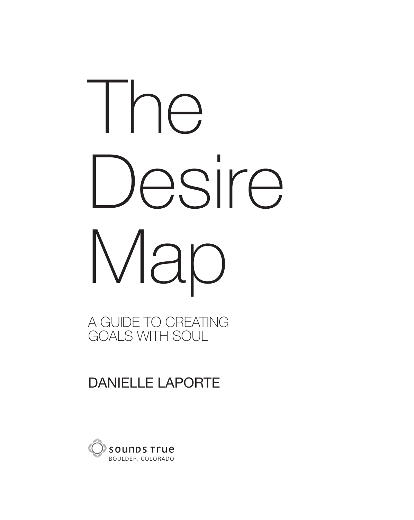# The Desire Map

A GUIDE TO CREATING GOALS WITH SOUL

DANIELLE LAPORTE

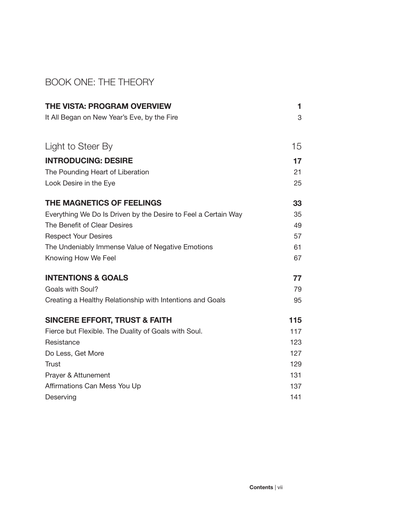### BOOK ONE: THE THEORY

| <b>THE VISTA: PROGRAM OVERVIEW</b>                             | 1   |
|----------------------------------------------------------------|-----|
| It All Began on New Year's Eve, by the Fire                    | 3   |
|                                                                |     |
| Light to Steer By                                              | 15  |
| <b>INTRODUCING: DESIRE</b>                                     | 17  |
| The Pounding Heart of Liberation                               | 21  |
| Look Desire in the Eye                                         | 25  |
| THE MAGNETICS OF FEELINGS                                      | 33  |
| Everything We Do Is Driven by the Desire to Feel a Certain Way | 35  |
| The Benefit of Clear Desires                                   | 49  |
| <b>Respect Your Desires</b>                                    | 57  |
| The Undeniably Immense Value of Negative Emotions              | 61  |
| Knowing How We Feel                                            | 67  |
| <b>INTENTIONS &amp; GOALS</b>                                  | 77  |
| Goals with Soul?                                               | 79  |
| Creating a Healthy Relationship with Intentions and Goals      | 95  |
| <b>SINCERE EFFORT, TRUST &amp; FAITH</b>                       | 115 |
| Fierce but Flexible. The Duality of Goals with Soul.           | 117 |
| Resistance                                                     | 123 |
| Do Less, Get More                                              | 127 |
| Trust                                                          | 129 |
| Prayer & Attunement                                            | 131 |
| Affirmations Can Mess You Up                                   | 137 |
| Deserving                                                      | 141 |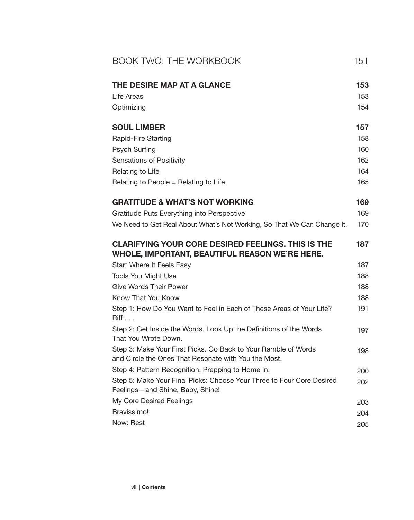| <b>BOOK TWO: THE WORKBOOK</b>                                                                                          | 151 |
|------------------------------------------------------------------------------------------------------------------------|-----|
| THE DESIRE MAP AT A GLANCE                                                                                             | 153 |
| I ife Areas                                                                                                            | 153 |
| Optimizing                                                                                                             | 154 |
| <b>SOUL LIMBER</b>                                                                                                     | 157 |
| Rapid-Fire Starting                                                                                                    | 158 |
| Psych Surfing                                                                                                          | 160 |
| Sensations of Positivity                                                                                               | 162 |
| Relating to Life                                                                                                       | 164 |
| Relating to People = Relating to Life                                                                                  | 165 |
| <b>GRATITUDE &amp; WHAT'S NOT WORKING</b>                                                                              | 169 |
| Gratitude Puts Everything into Perspective                                                                             | 169 |
| We Need to Get Real About What's Not Working, So That We Can Change It.                                                | 170 |
| <b>CLARIFYING YOUR CORE DESIRED FEELINGS. THIS IS THE</b><br><b>WHOLE, IMPORTANT, BEAUTIFUL REASON WE'RE HERE.</b>     | 187 |
| Start Where It Feels Easy                                                                                              | 187 |
| <b>Tools You Might Use</b>                                                                                             | 188 |
| <b>Give Words Their Power</b>                                                                                          | 188 |
| Know That You Know                                                                                                     | 188 |
| Step 1: How Do You Want to Feel in Each of These Areas of Your Life?<br>Riff                                           | 191 |
| Step 2: Get Inside the Words. Look Up the Definitions of the Words<br>That You Wrote Down.                             | 197 |
| Step 3: Make Your First Picks. Go Back to Your Ramble of Words<br>and Circle the Ones That Resonate with You the Most. | 198 |
| Step 4: Pattern Recognition. Prepping to Home In.                                                                      | 200 |
| Step 5: Make Your Final Picks: Choose Your Three to Four Core Desired<br>Feelings-and Shine, Baby, Shine!              | 202 |
| My Core Desired Feelings                                                                                               | 203 |
| Bravissimo!                                                                                                            | 204 |
| Now: Rest                                                                                                              | 205 |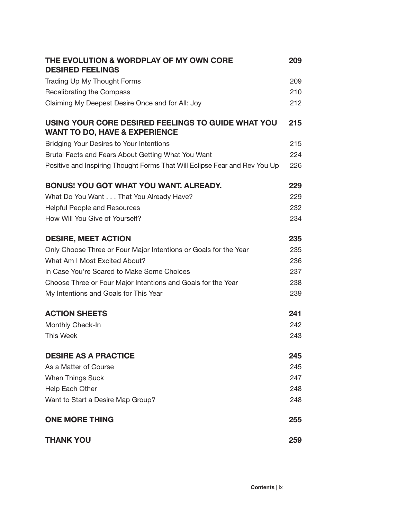| THE EVOLUTION & WORDPLAY OF MY OWN CORE<br><b>DESIRED FEELINGS</b>                             | 209 |
|------------------------------------------------------------------------------------------------|-----|
| Trading Up My Thought Forms                                                                    | 209 |
| Recalibrating the Compass                                                                      | 210 |
| Claiming My Deepest Desire Once and for All: Joy                                               | 212 |
| USING YOUR CORE DESIRED FEELINGS TO GUIDE WHAT YOU<br><b>WANT TO DO, HAVE &amp; EXPERIENCE</b> | 215 |
| Bridging Your Desires to Your Intentions                                                       | 215 |
| Brutal Facts and Fears About Getting What You Want                                             | 224 |
| Positive and Inspiring Thought Forms That Will Eclipse Fear and Rev You Up                     | 226 |
| <b>BONUS! YOU GOT WHAT YOU WANT. ALREADY.</b>                                                  | 229 |
| What Do You Want That You Already Have?                                                        | 229 |
| <b>Helpful People and Resources</b>                                                            | 232 |
| How Will You Give of Yourself?                                                                 | 234 |
| <b>DESIRE, MEET ACTION</b>                                                                     | 235 |
| Only Choose Three or Four Major Intentions or Goals for the Year                               | 235 |
| What Am I Most Excited About?                                                                  | 236 |
| In Case You're Scared to Make Some Choices                                                     | 237 |
| Choose Three or Four Major Intentions and Goals for the Year                                   | 238 |
| My Intentions and Goals for This Year                                                          | 239 |
| <b>ACTION SHEETS</b>                                                                           | 241 |
| Monthly Check-In                                                                               | 242 |
| <b>This Week</b>                                                                               | 243 |
| <b>DESIRE AS A PRACTICE</b>                                                                    | 245 |
| As a Matter of Course                                                                          | 245 |
| When Things Suck                                                                               | 247 |
| Help Each Other                                                                                | 248 |
| Want to Start a Desire Map Group?                                                              | 248 |
| <b>ONE MORE THING</b>                                                                          | 255 |
| <b>THANK YOU</b>                                                                               | 259 |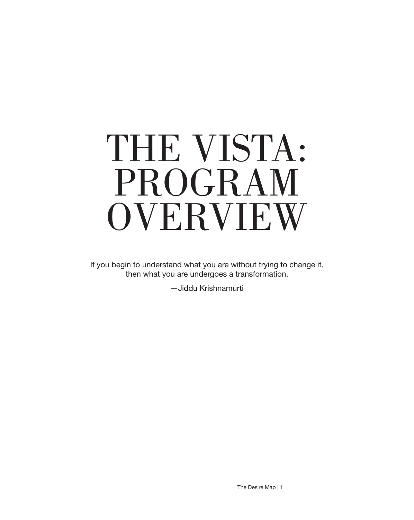# THE VISTA: PROGRAM **OVERVIEW**

If you begin to understand what you are without trying to change it, then what you are undergoes a transformation.

—Jiddu Krishnamurti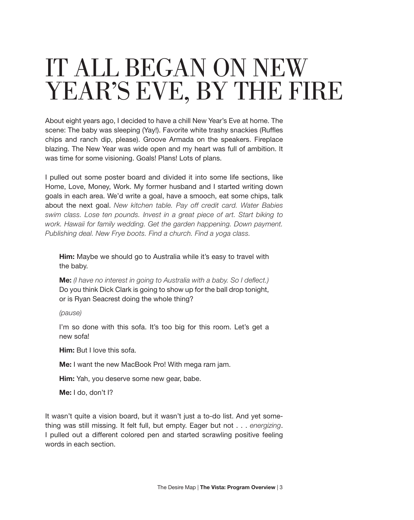# IT ALL BEGAN ON NEW YEAR'S EVE, BY THE FIRE

About eight years ago, I decided to have a chill New Year's Eve at home. The scene: The baby was sleeping (Yay!). Favorite white trashy snackies (Ruffles chips and ranch dip, please). Groove Armada on the speakers. Fireplace blazing. The New Year was wide open and my heart was full of ambition. It was time for some visioning. Goals! Plans! Lots of plans.

I pulled out some poster board and divided it into some life sections, like Home, Love, Money, Work. My former husband and I started writing down goals in each area. We'd write a goal, have a smooch, eat some chips, talk about the next goal. *New kitchen table. Pay off credit card. Water Babies swim class. Lose ten pounds. Invest in a great piece of art. Start biking to work. Hawaii for family wedding. Get the garden happening. Down payment. Publishing deal. New Frye boots. Find a church. Find a yoga class.*

Him: Maybe we should go to Australia while it's easy to travel with the baby.

Me: *(I have no interest in going to Australia with a baby. So I deflect.)* Do you think Dick Clark is going to show up for the ball drop tonight, or is Ryan Seacrest doing the whole thing?

*(pause)*

I'm so done with this sofa. It's too big for this room. Let's get a new sofa!

Him: But I love this sofa.

Me: I want the new MacBook Pro! With mega ram jam.

Him: Yah, you deserve some new gear, babe.

Me: I do, don't I?

It wasn't quite a vision board, but it wasn't just a to-do list. And yet something was still missing. It felt full, but empty. Eager but not . . . *energizing*. I pulled out a different colored pen and started scrawling positive feeling words in each section.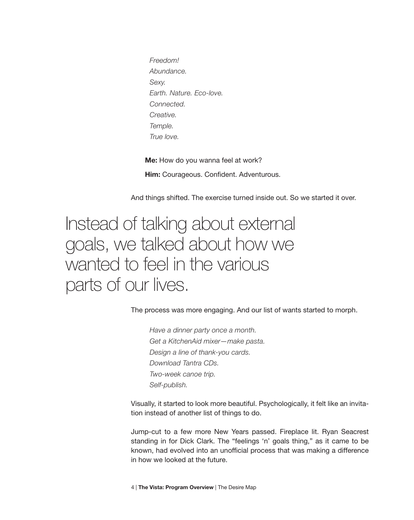*Freedom! Abundance. Sexy. Earth. Nature. Eco-love. Connected. Creative. Temple. True love.*

Me: How do you wanna feel at work? Him: Courageous. Confident. Adventurous.

And things shifted. The exercise turned inside out. So we started it over.

# Instead of talking about external goals, we talked about how we wanted to feel in the various parts of our lives.

The process was more engaging. And our list of wants started to morph.

*Have a dinner party once a month. Get a KitchenAid mixer—make pasta. Design a line of thank-you cards. Download Tantra CDs. Two-week canoe trip. Self-publish.*

Visually, it started to look more beautiful. Psychologically, it felt like an invitation instead of another list of things to do.

Jump-cut to a few more New Years passed. Fireplace lit. Ryan Seacrest standing in for Dick Clark. The "feelings 'n' goals thing," as it came to be known, had evolved into an unofficial process that was making a difference in how we looked at the future.

4 | The Vista: Program Overview | The Desire Map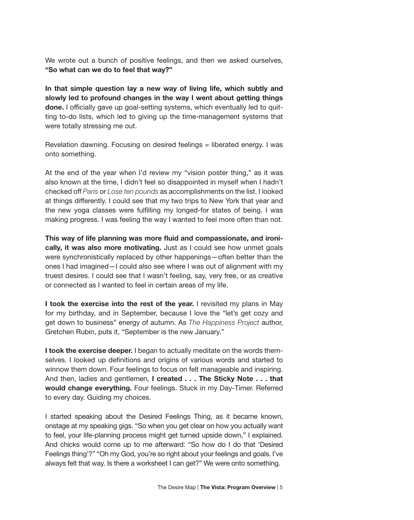We wrote out a bunch of positive feelings, and then we asked ourselves, "So what can we do to feel that way?"

In that simple question lay a new way of living life, which subtly and slowly led to profound changes in the way I went about getting things done. I officially gave up goal-setting systems, which eventually led to quitting to-do lists, which led to giving up the time-management systems that were totally stressing me out.

Revelation dawning. Focusing on desired feelings = liberated energy. I was onto something.

At the end of the year when I'd review my "vision poster thing," as it was also known at the time, I didn't feel so disappointed in myself when I hadn't checked off *Paris* or *Lose ten pounds* as accomplishments on the list. I looked at things differently. I could see that my two trips to New York that year and the new yoga classes were fulfilling my longed-for states of being. I was making progress. I was feeling the way I wanted to feel more often than not.

This way of life planning was more fluid and compassionate, and ironically, it was also more motivating. Just as I could see how unmet goals were synchronistically replaced by other happenings—often better than the ones I had imagined—I could also see where I was out of alignment with my truest desires. I could see that I wasn't feeling, say, very free, or as creative or connected as I wanted to feel in certain areas of my life.

I took the exercise into the rest of the year. I revisited my plans in May for my birthday, and in September, because I love the "let's get cozy and get down to business" energy of autumn. As *The Happiness Project* author, Gretchen Rubin, puts it, "September is the new January."

I took the exercise deeper. I began to actually meditate on the words themselves. I looked up definitions and origins of various words and started to winnow them down. Four feelings to focus on felt manageable and inspiring. And then, ladies and gentlemen, I created . . . The Sticky Note . . . that would change everything. Four feelings. Stuck in my Day-Timer. Referred to every day. Guiding my choices.

I started speaking about the Desired Feelings Thing, as it became known, onstage at my speaking gigs. "So when you get clear on how you actually want to feel, your life-planning process might get turned upside down," I explained. And chicks would come up to me afterward: "So how do I do that 'Desired Feelings thing'?" "Oh my God, you're so right about your feelings and goals. I've always felt that way. Is there a worksheet I can get?" We were onto something.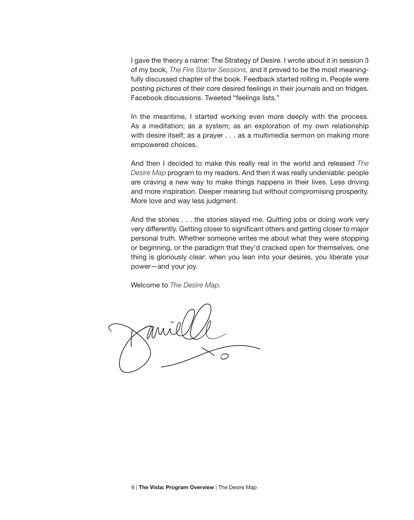I gave the theory a name: The Strategy of Desire. I wrote about it in session 3 of my book, *The Fire Starter Sessions,* and it proved to be the most meaningfully discussed chapter of the book. Feedback started rolling in. People were posting pictures of their core desired feelings in their journals and on fridges. Facebook discussions. Tweeted "feelings lists."

In the meantime, I started working even more deeply with the process. As a meditation; as a system; as an exploration of my own relationship with desire itself; as a prayer . . . as a multimedia sermon on making more empowered choices.

And then I decided to make this really real in the world and released *The Desire Map* program to my readers. And then it was really undeniable: people are craving a new way to make things happens in their lives. Less driving and more inspiration. Deeper meaning but without compromising prosperity. More love and way less judgment.

And the stories . . . the stories slayed me. Quitting jobs or doing work very very differently. Getting closer to significant others and getting closer to major personal truth. Whether someone writes me about what they were stopping or beginning, or the paradigm that they'd cracked open for themselves, one thing is gloriously clear: when you lean into your desires, you liberate your power—and your joy.

Welcome to *The Desire Map.*

amille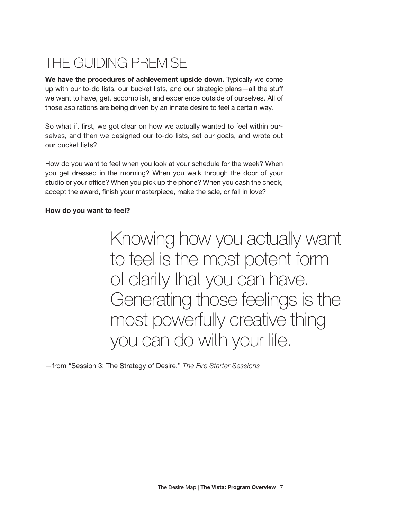# THE GUIDING PREMISE

We have the procedures of achievement upside down. Typically we come up with our to-do lists, our bucket lists, and our strategic plans—all the stuff we want to have, get, accomplish, and experience outside of ourselves. All of those aspirations are being driven by an innate desire to feel a certain way.

So what if, first, we got clear on how we actually wanted to feel within ourselves, and then we designed our to-do lists, set our goals, and wrote out our bucket lists?

How do you want to feel when you look at your schedule for the week? When you get dressed in the morning? When you walk through the door of your studio or your office? When you pick up the phone? When you cash the check, accept the award, finish your masterpiece, make the sale, or fall in love?

#### How do you want to feel?

Knowing how you actually want to feel is the most potent form of clarity that you can have. Generating those feelings is the most powerfully creative thing you can do with your life.

—from "Session 3: The Strategy of Desire," *The Fire Starter Sessions*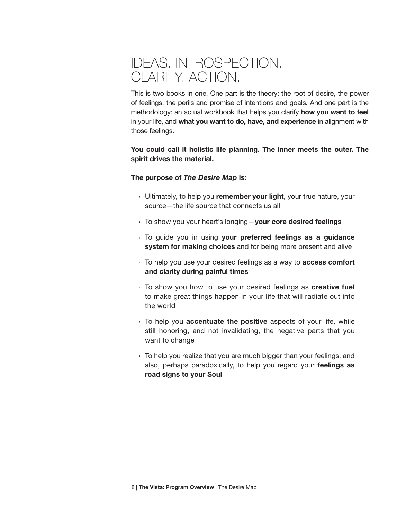## IDEAS. INTROSPECTION. CLARITY. ACTION.

This is two books in one. One part is the theory: the root of desire, the power of feelings, the perils and promise of intentions and goals. And one part is the methodology: an actual workbook that helps you clarify **how you want to feel** in your life, and what you want to do, have, and experience in alignment with those feelings.

#### You could call it holistic life planning. The inner meets the outer. The spirit drives the material.

#### The purpose of *The Desire Map* is:

- > Ultimately, to help you remember your light, your true nature, your source—the life source that connects us all
- › To show you your heart's longing—your core desired feelings
- $\rightarrow$  To guide you in using your preferred feelings as a guidance system for making choices and for being more present and alive
- › To help you use your desired feelings as a way to access comfort and clarity during painful times
- › To show you how to use your desired feelings as creative fuel to make great things happen in your life that will radiate out into the world
- › To help you accentuate the positive aspects of your life, while still honoring, and not invalidating, the negative parts that you want to change
- $\rightarrow$  To help you realize that you are much bigger than your feelings, and also, perhaps paradoxically, to help you regard your feelings as road signs to your Soul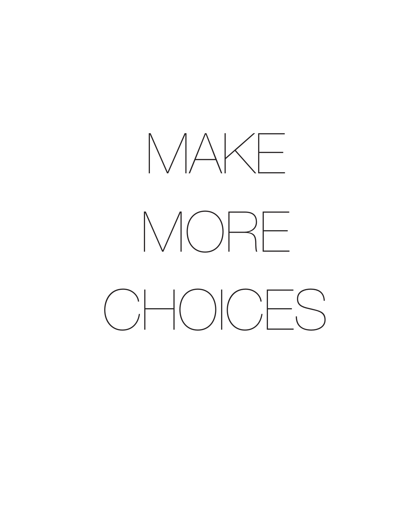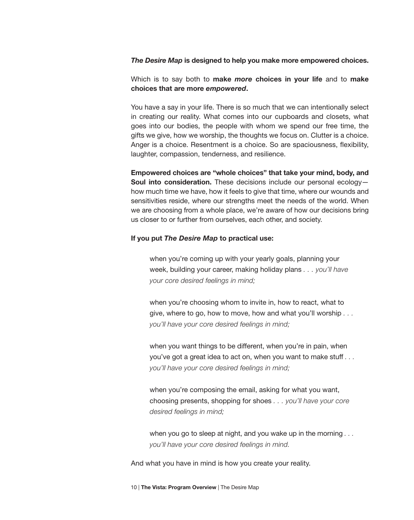#### *The Desire Map* is designed to help you make more empowered choices.

Which is to say both to make *more* choices in your life and to make choices that are more *empowered*.

You have a say in your life. There is so much that we can intentionally select in creating our reality. What comes into our cupboards and closets, what goes into our bodies, the people with whom we spend our free time, the gifts we give, how we worship, the thoughts we focus on. Clutter is a choice. Anger is a choice. Resentment is a choice. So are spaciousness, flexibility, laughter, compassion, tenderness, and resilience.

Empowered choices are "whole choices" that take your mind, body, and Soul into consideration. These decisions include our personal ecology how much time we have, how it feels to give that time, where our wounds and sensitivities reside, where our strengths meet the needs of the world. When we are choosing from a whole place, we're aware of how our decisions bring us closer to or further from ourselves, each other, and society.

#### If you put *The Desire Map* to practical use:

when you're coming up with your yearly goals, planning your week, building your career, making holiday plans *. . . you'll have your core desired feelings in mind;*

when you're choosing whom to invite in, how to react, what to give, where to go, how to move, how and what you'll worship *. . . you'll have your core desired feelings in mind;*

when you want things to be different, when you're in pain, when you've got a great idea to act on, when you want to make stuff *. . . you'll have your core desired feelings in mind;*

when you're composing the email, asking for what you want, choosing presents, shopping for shoes *. . . you'll have your core desired feelings in mind;*

when you go to sleep at night, and you wake up in the morning *. . . you'll have your core desired feelings in mind.*

And what you have in mind is how you create your reality.